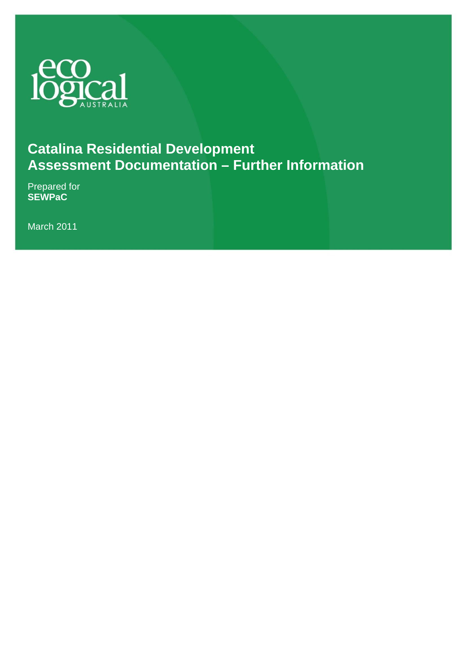

### **Catalina Residential Development Assessment Documentation – Further Information**

Prepared for **SEWPaC**

March 2011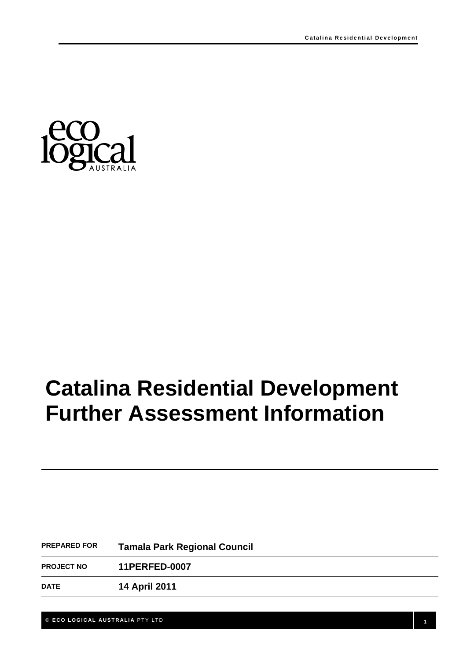

# **Catalina Residential Development Further Assessment Information**

| <b>PREPARED FOR</b> | <b>Tamala Park Regional Council</b> |  |
|---------------------|-------------------------------------|--|
| <b>PROJECT NO</b>   | <b>11PERFED-0007</b>                |  |
| <b>DATE</b>         | <b>14 April 2011</b>                |  |

© **ECO LOGICAL AUSTRALIA** PTY LTD **1**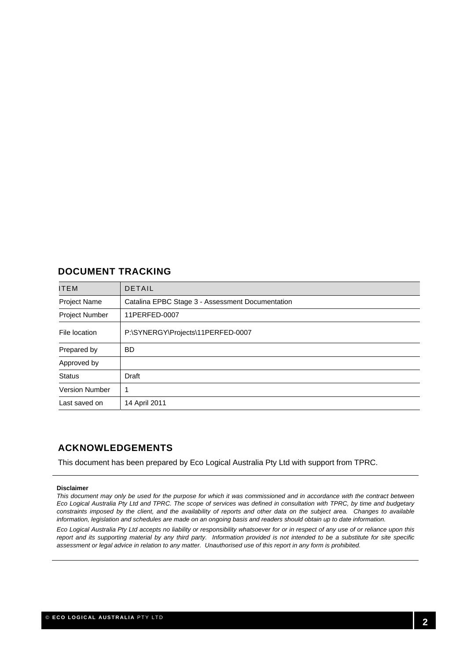#### **DOCUMENT TRACKING**

| ITEM                  | <b>DETAIL</b>                                    |
|-----------------------|--------------------------------------------------|
| Project Name          | Catalina EPBC Stage 3 - Assessment Documentation |
| Project Number        | 11PERFED-0007                                    |
| File location         | P:\SYNERGY\Projects\11PERFED-0007                |
| Prepared by           | <b>BD</b>                                        |
| Approved by           |                                                  |
| <b>Status</b>         | Draft                                            |
| <b>Version Number</b> | 1                                                |
| Last saved on         | 14 April 2011                                    |

#### **ACKNOWLEDGEMENTS**

This document has been prepared by Eco Logical Australia Pty Ltd with support from TPRC.

#### **Disclaimer**

*This document may only be used for the purpose for which it was commissioned and in accordance with the contract between Eco Logical Australia Pty Ltd and TPRC. The scope of services was defined in consultation with TPRC, by time and budgetary constraints imposed by the client, and the availability of reports and other data on the subject area. Changes to available information, legislation and schedules are made on an ongoing basis and readers should obtain up to date information.* 

*Eco Logical Australia Pty Ltd accepts no liability or responsibility whatsoever for or in respect of any use of or reliance upon this report and its supporting material by any third party. Information provided is not intended to be a substitute for site specific assessment or legal advice in relation to any matter. Unauthorised use of this report in any form is prohibited.*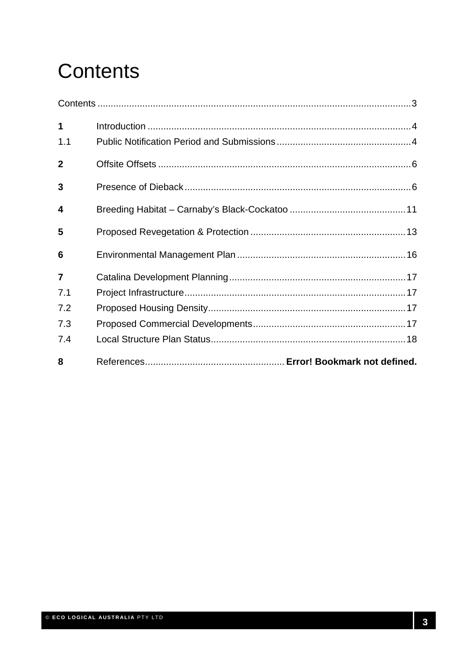# **Contents**

| 1              |  |
|----------------|--|
| 1.1            |  |
| $\overline{2}$ |  |
| 3              |  |
| 4              |  |
| 5              |  |
| 6              |  |
| $\overline{7}$ |  |
| 7.1            |  |
| 7.2            |  |
| 7.3            |  |
| 7.4            |  |
| 8              |  |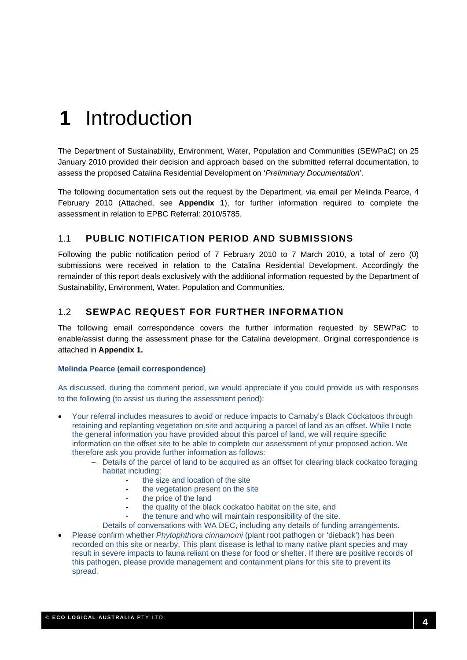### **1** Introduction

The Department of Sustainability, Environment, Water, Population and Communities (SEWPaC) on 25 January 2010 provided their decision and approach based on the submitted referral documentation, to assess the proposed Catalina Residential Development on '*Preliminary Documentation*'.

The following documentation sets out the request by the Department, via email per Melinda Pearce, 4 February 2010 (Attached, see **Appendix 1**), for further information required to complete the assessment in relation to EPBC Referral: 2010/5785.

#### 1.1 **PUBLIC NOTIFICATION PERIOD AND SUBMISSIONS**

Following the public notification period of 7 February 2010 to 7 March 2010, a total of zero (0) submissions were received in relation to the Catalina Residential Development. Accordingly the remainder of this report deals exclusively with the additional information requested by the Department of Sustainability, Environment, Water, Population and Communities.

#### 1.2 **SEWPAC REQUEST FOR FURTHER INFORMATION**

The following email correspondence covers the further information requested by SEWPaC to enable/assist during the assessment phase for the Catalina development. Original correspondence is attached in **Appendix 1.** 

#### **Melinda Pearce (email correspondence)**

As discussed, during the comment period, we would appreciate if you could provide us with responses to the following (to assist us during the assessment period):

- Your referral includes measures to avoid or reduce impacts to Carnaby's Black Cockatoos through retaining and replanting vegetation on site and acquiring a parcel of land as an offset. While I note the general information you have provided about this parcel of land, we will require specific information on the offset site to be able to complete our assessment of your proposed action. We therefore ask you provide further information as follows:
	- − Details of the parcel of land to be acquired as an offset for clearing black cockatoo foraging habitat including:
		- the size and location of the site
			- the vegetation present on the site
		- the price of the land
		- the quality of the black cockatoo habitat on the site, and
		- the tenure and who will maintain responsibility of the site.
	- − Details of conversations with WA DEC, including any details of funding arrangements.
- Please confirm whether *Phytophthora cinnamomi* (plant root pathogen or 'dieback') has been recorded on this site or nearby. This plant disease is lethal to many native plant species and may result in severe impacts to fauna reliant on these for food or shelter. If there are positive records of this pathogen, please provide management and containment plans for this site to prevent its spread.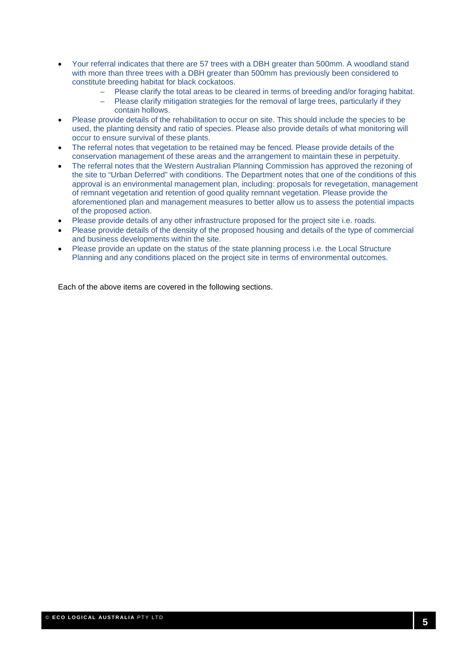- Your referral indicates that there are 57 trees with a DBH greater than 500mm. A woodland stand with more than three trees with a DBH greater than 500mm has previously been considered to constitute breeding habitat for black cockatoos.
	- − Please clarify the total areas to be cleared in terms of breeding and/or foraging habitat.
	- − Please clarify mitigation strategies for the removal of large trees, particularly if they contain hollows.
- Please provide details of the rehabilitation to occur on site. This should include the species to be used, the planting density and ratio of species. Please also provide details of what monitoring will occur to ensure survival of these plants.
- The referral notes that vegetation to be retained may be fenced. Please provide details of the conservation management of these areas and the arrangement to maintain these in perpetuity.
- The referral notes that the Western Australian Planning Commission has approved the rezoning of the site to "Urban Deferred" with conditions. The Department notes that one of the conditions of this approval is an environmental management plan, including: proposals for revegetation, management of remnant vegetation and retention of good quality remnant vegetation. Please provide the aforementioned plan and management measures to better allow us to assess the potential impacts of the proposed action.
- Please provide details of any other infrastructure proposed for the project site i.e. roads.
- Please provide details of the density of the proposed housing and details of the type of commercial and business developments within the site.
- Please provide an update on the status of the state planning process i.e. the Local Structure Planning and any conditions placed on the project site in terms of environmental outcomes.

Each of the above items are covered in the following sections.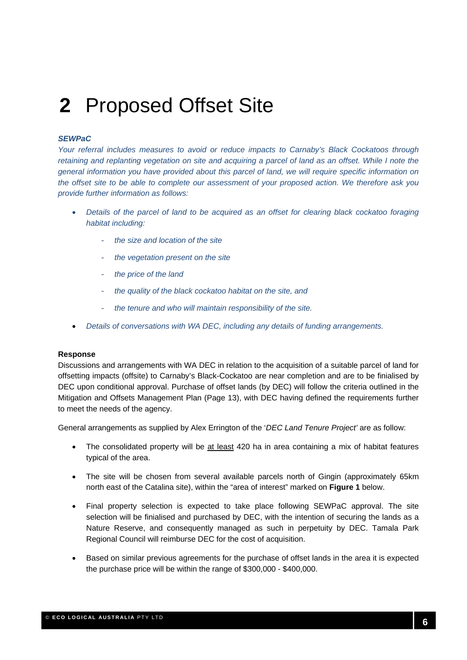### **2** Proposed Offset Site

#### *SEWPaC*

*Your referral includes measures to avoid or reduce impacts to Carnaby's Black Cockatoos through retaining and replanting vegetation on site and acquiring a parcel of land as an offset. While I note the general information you have provided about this parcel of land, we will require specific information on the offset site to be able to complete our assessment of your proposed action. We therefore ask you provide further information as follows:* 

- *Details of the parcel of land to be acquired as an offset for clearing black cockatoo foraging habitat including:* 
	- *the size and location of the site*
	- *the vegetation present on the site*
	- *the price of the land*
	- *the quality of the black cockatoo habitat on the site, and*
	- *the tenure and who will maintain responsibility of the site.*
- *Details of conversations with WA DEC, including any details of funding arrangements.*

#### **Response**

Discussions and arrangements with WA DEC in relation to the acquisition of a suitable parcel of land for offsetting impacts (offsite) to Carnaby's Black-Cockatoo are near completion and are to be finialised by DEC upon conditional approval. Purchase of offset lands (by DEC) will follow the criteria outlined in the Mitigation and Offsets Management Plan (Page 13), with DEC having defined the requirements further to meet the needs of the agency.

General arrangements as supplied by Alex Errington of the '*DEC Land Tenure Project'* are as follow:

- The consolidated property will be at least 420 ha in area containing a mix of habitat features typical of the area.
- The site will be chosen from several available parcels north of Gingin (approximately 65km north east of the Catalina site), within the "area of interest" marked on **Figure 1** below.
- Final property selection is expected to take place following SEWPaC approval. The site selection will be finialised and purchased by DEC, with the intention of securing the lands as a Nature Reserve, and consequently managed as such in perpetuity by DEC. Tamala Park Regional Council will reimburse DEC for the cost of acquisition.
- Based on similar previous agreements for the purchase of offset lands in the area it is expected the purchase price will be within the range of \$300,000 - \$400,000.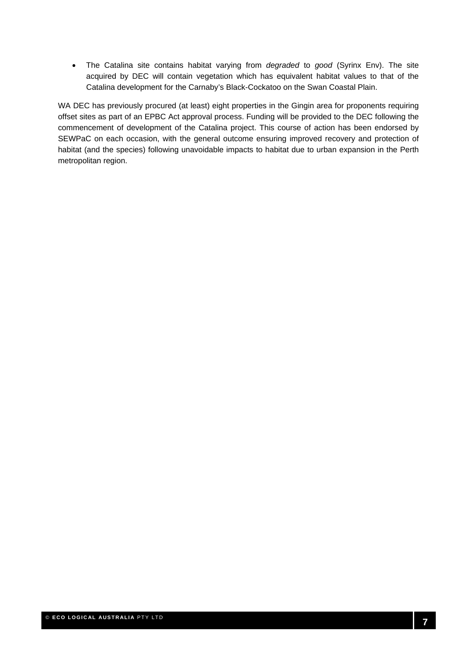• The Catalina site contains habitat varying from *degraded* to *good* (Syrinx Env). The site acquired by DEC will contain vegetation which has equivalent habitat values to that of the Catalina development for the Carnaby's Black-Cockatoo on the Swan Coastal Plain.

WA DEC has previously procured (at least) eight properties in the Gingin area for proponents requiring offset sites as part of an EPBC Act approval process. Funding will be provided to the DEC following the commencement of development of the Catalina project. This course of action has been endorsed by SEWPaC on each occasion, with the general outcome ensuring improved recovery and protection of habitat (and the species) following unavoidable impacts to habitat due to urban expansion in the Perth metropolitan region.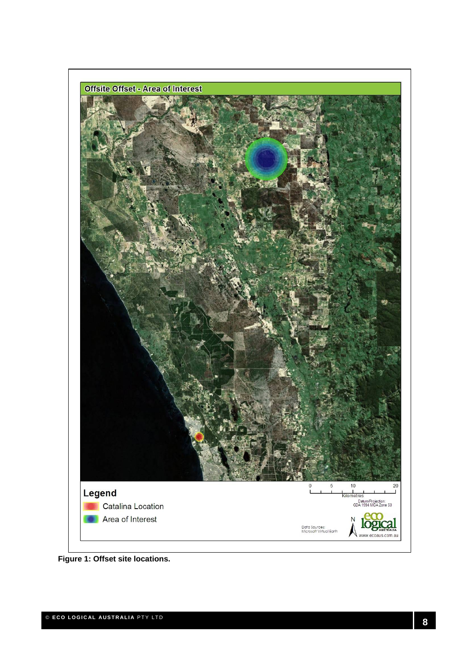

**Figure 1: Offset site locations.**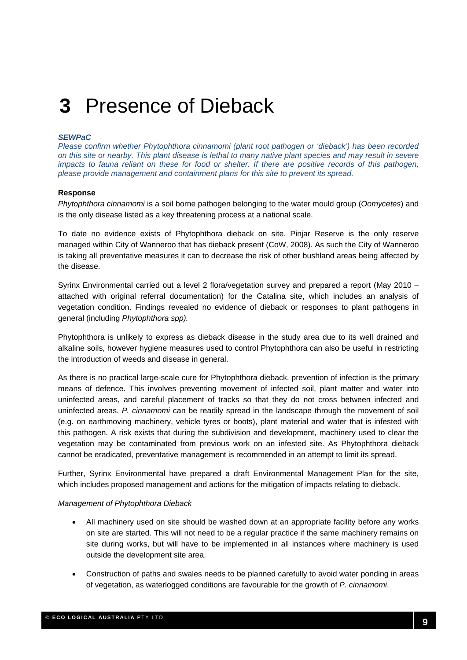### **3** Presence of Dieback

#### *SEWPaC*

*Please confirm whether Phytophthora cinnamomi (plant root pathogen or 'dieback') has been recorded on this site or nearby. This plant disease is lethal to many native plant species and may result in severe impacts to fauna reliant on these for food or shelter. If there are positive records of this pathogen, please provide management and containment plans for this site to prevent its spread.* 

#### **Response**

*Phytophthora cinnamomi* is a soil borne pathogen belonging to the water mould group (*Oomycetes*) and is the only disease listed as a key threatening process at a national scale.

To date no evidence exists of Phytophthora dieback on site. Pinjar Reserve is the only reserve managed within City of Wanneroo that has dieback present (CoW, 2008). As such the City of Wanneroo is taking all preventative measures it can to decrease the risk of other bushland areas being affected by the disease.

Syrinx Environmental carried out a level 2 flora/vegetation survey and prepared a report (May 2010 – attached with original referral documentation) for the Catalina site, which includes an analysis of vegetation condition. Findings revealed no evidence of dieback or responses to plant pathogens in general (including *Phytophthora spp).* 

Phytophthora is unlikely to express as dieback disease in the study area due to its well drained and alkaline soils, however hygiene measures used to control Phytophthora can also be useful in restricting the introduction of weeds and disease in general.

As there is no practical large-scale cure for Phytophthora dieback, prevention of infection is the primary means of defence. This involves preventing movement of infected soil, plant matter and water into uninfected areas, and careful placement of tracks so that they do not cross between infected and uninfected areas. *P. cinnamomi* can be readily spread in the landscape through the movement of soil (e.g. on earthmoving machinery, vehicle tyres or boots), plant material and water that is infested with this pathogen. A risk exists that during the subdivision and development, machinery used to clear the vegetation may be contaminated from previous work on an infested site. As Phytophthora dieback cannot be eradicated, preventative management is recommended in an attempt to limit its spread.

Further, Syrinx Environmental have prepared a draft Environmental Management Plan for the site, which includes proposed management and actions for the mitigation of impacts relating to dieback.

#### *Management of Phytophthora Dieback*

- All machinery used on site should be washed down at an appropriate facility before any works on site are started. This will not need to be a regular practice if the same machinery remains on site during works, but will have to be implemented in all instances where machinery is used outside the development site area.
- Construction of paths and swales needs to be planned carefully to avoid water ponding in areas of vegetation, as waterlogged conditions are favourable for the growth of *P. cinnamomi*.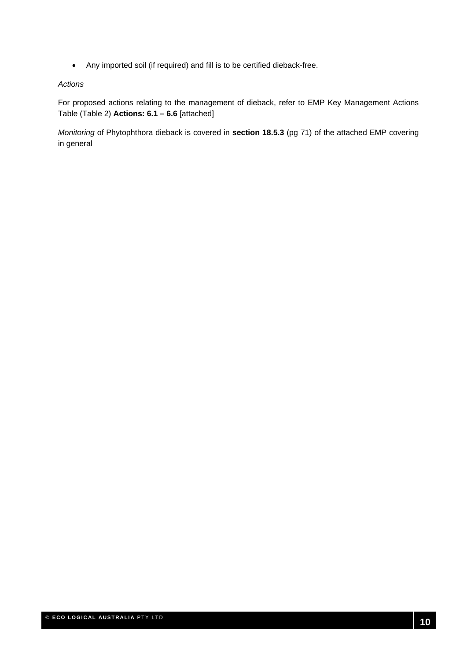• Any imported soil (if required) and fill is to be certified dieback-free.

#### *Actions*

For proposed actions relating to the management of dieback, refer to EMP Key Management Actions Table (Table 2) **Actions: 6.1 – 6.6** [attached]

*Monitoring* of Phytophthora dieback is covered in **section 18.5.3** (pg 71) of the attached EMP covering in general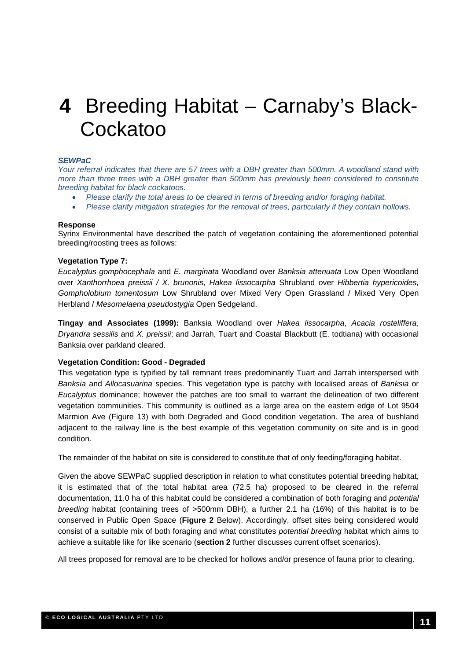### **4** Breeding Habitat – Carnaby's Black-Cockatoo

#### *SEWPaC*

*Your referral indicates that there are 57 trees with a DBH greater than 500mm. A woodland stand with more than three trees with a DBH greater than 500mm has previously been considered to constitute breeding habitat for black cockatoos.* 

- *Please clarify the total areas to be cleared in terms of breeding and/or foraging habitat.*
- *Please clarify mitigation strategies for the removal of trees, particularly if they contain hollows.*

#### **Response**

Syrinx Environmental have described the patch of vegetation containing the aforementioned potential breeding/roosting trees as follows:

#### **Vegetation Type 7:**

*Eucalyptus gomphocephala* and *E. marginata* Woodland over *Banksia attenuata* Low Open Woodland over *Xanthorrhoea preissii / X. brunonis*, *Hakea lissocarpha* Shrubland over *Hibbertia hypericoides, Gompholobium tomentosum* Low Shrubland over Mixed Very Open Grassland / Mixed Very Open Herbland / *Mesomelaena pseudostygia* Open Sedgeland.

**Tingay and Associates (1999):** Banksia Woodland over *Hakea lissocarpha*, *Acacia rosteliffera*, *Dryandra sessilis* and *X. preissii*; and Jarrah, Tuart and Coastal Blackbutt (E. todtiana) with occasional Banksia over parkland cleared.

#### **Vegetation Condition: Good - Degraded**

This vegetation type is typified by tall remnant trees predominantly Tuart and Jarrah interspersed with *Banksia* and *Allocasuarina* species. This vegetation type is patchy with localised areas of *Banksia* or *Eucalyptus* dominance; however the patches are too small to warrant the delineation of two different vegetation communities. This community is outlined as a large area on the eastern edge of Lot 9504 Marmion Ave (Figure 13) with both Degraded and Good condition vegetation. The area of bushland adjacent to the railway line is the best example of this vegetation community on site and is in good condition.

The remainder of the habitat on site is considered to constitute that of only feeding/foraging habitat.

Given the above SEWPaC supplied description in relation to what constitutes potential breeding habitat, it is estimated that of the total habitat area (72.5 ha) proposed to be cleared in the referral documentation, 11.0 ha of this habitat could be considered a combination of both foraging and *potential breeding* habitat (containing trees of >500mm DBH), a further 2.1 ha (16%) of this habitat is to be conserved in Public Open Space (**Figure 2** Below). Accordingly, offset sites being considered would consist of a suitable mix of both foraging and what constitutes *potential breeding* habitat which aims to achieve a suitable like for like scenario (**section 2** further discusses current offset scenarios).

All trees proposed for removal are to be checked for hollows and/or presence of fauna prior to clearing.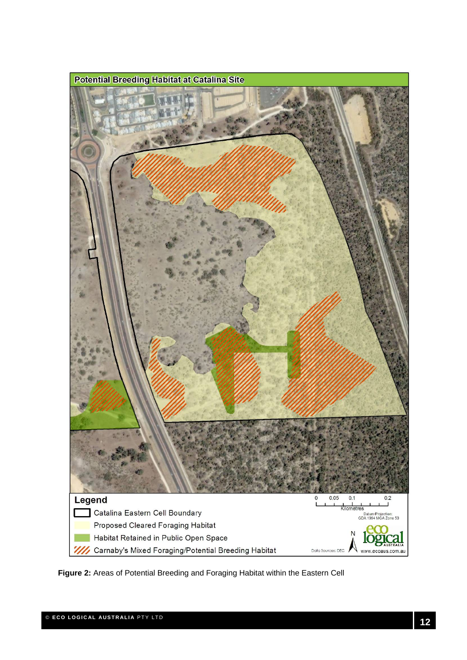

**Figure 2:** Areas of Potential Breeding and Foraging Habitat within the Eastern Cell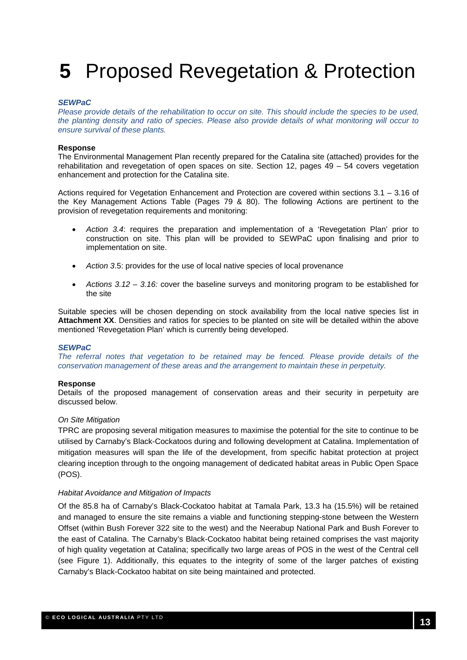## **5** Proposed Revegetation & Protection

#### *SEWPaC*

*Please provide details of the rehabilitation to occur on site. This should include the species to be used, the planting density and ratio of species. Please also provide details of what monitoring will occur to ensure survival of these plants.* 

#### **Response**

The Environmental Management Plan recently prepared for the Catalina site (attached) provides for the rehabilitation and revegetation of open spaces on site. Section 12, pages 49 – 54 covers vegetation enhancement and protection for the Catalina site.

Actions required for Vegetation Enhancement and Protection are covered within sections 3.1 – 3.16 of the Key Management Actions Table (Pages 79 & 80). The following Actions are pertinent to the provision of revegetation requirements and monitoring:

- *Action 3.4*: requires the preparation and implementation of a 'Revegetation Plan' prior to construction on site. This plan will be provided to SEWPaC upon finalising and prior to implementation on site.
- *Action 3*.5: provides for the use of local native species of local provenance
- *Actions 3.12 3.16:* cover the baseline surveys and monitoring program to be established for the site

Suitable species will be chosen depending on stock availability from the local native species list in **Attachment XX**. Densities and ratios for species to be planted on site will be detailed within the above mentioned 'Revegetation Plan' which is currently being developed.

#### *SEWPaC*

*The referral notes that vegetation to be retained may be fenced. Please provide details of the conservation management of these areas and the arrangement to maintain these in perpetuity.* 

#### **Response**

Details of the proposed management of conservation areas and their security in perpetuity are discussed below.

#### *On Site Mitigation*

TPRC are proposing several mitigation measures to maximise the potential for the site to continue to be utilised by Carnaby's Black-Cockatoos during and following development at Catalina. Implementation of mitigation measures will span the life of the development, from specific habitat protection at project clearing inception through to the ongoing management of dedicated habitat areas in Public Open Space (POS).

#### *Habitat Avoidance and Mitigation of Impacts*

Of the 85.8 ha of Carnaby's Black-Cockatoo habitat at Tamala Park, 13.3 ha (15.5%) will be retained and managed to ensure the site remains a viable and functioning stepping-stone between the Western Offset (within Bush Forever 322 site to the west) and the Neerabup National Park and Bush Forever to the east of Catalina. The Carnaby's Black-Cockatoo habitat being retained comprises the vast majority of high quality vegetation at Catalina; specifically two large areas of POS in the west of the Central cell (see Figure 1). Additionally, this equates to the integrity of some of the larger patches of existing Carnaby's Black-Cockatoo habitat on site being maintained and protected.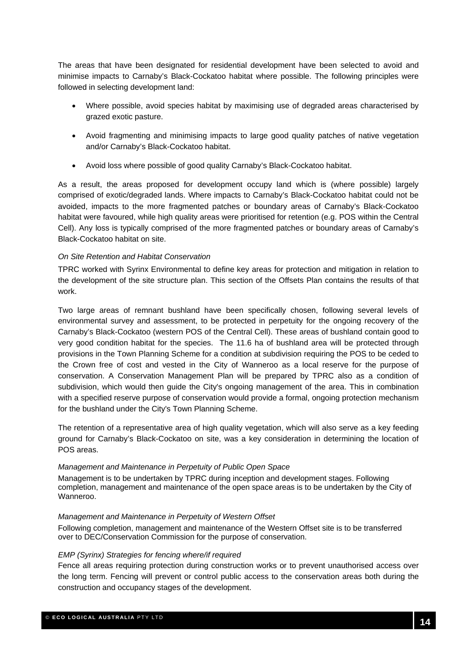The areas that have been designated for residential development have been selected to avoid and minimise impacts to Carnaby's Black-Cockatoo habitat where possible. The following principles were followed in selecting development land:

- Where possible, avoid species habitat by maximising use of degraded areas characterised by grazed exotic pasture.
- Avoid fragmenting and minimising impacts to large good quality patches of native vegetation and/or Carnaby's Black-Cockatoo habitat.
- Avoid loss where possible of good quality Carnaby's Black-Cockatoo habitat.

As a result, the areas proposed for development occupy land which is (where possible) largely comprised of exotic/degraded lands. Where impacts to Carnaby's Black-Cockatoo habitat could not be avoided, impacts to the more fragmented patches or boundary areas of Carnaby's Black-Cockatoo habitat were favoured, while high quality areas were prioritised for retention (e.g. POS within the Central Cell). Any loss is typically comprised of the more fragmented patches or boundary areas of Carnaby's Black-Cockatoo habitat on site.

#### *On Site Retention and Habitat Conservation*

TPRC worked with Syrinx Environmental to define key areas for protection and mitigation in relation to the development of the site structure plan. This section of the Offsets Plan contains the results of that work.

Two large areas of remnant bushland have been specifically chosen, following several levels of environmental survey and assessment, to be protected in perpetuity for the ongoing recovery of the Carnaby's Black-Cockatoo (western POS of the Central Cell). These areas of bushland contain good to very good condition habitat for the species. The 11.6 ha of bushland area will be protected through provisions in the Town Planning Scheme for a condition at subdivision requiring the POS to be ceded to the Crown free of cost and vested in the City of Wanneroo as a local reserve for the purpose of conservation. A Conservation Management Plan will be prepared by TPRC also as a condition of subdivision, which would then guide the City's ongoing management of the area. This in combination with a specified reserve purpose of conservation would provide a formal, ongoing protection mechanism for the bushland under the City's Town Planning Scheme.

The retention of a representative area of high quality vegetation, which will also serve as a key feeding ground for Carnaby's Black-Cockatoo on site, was a key consideration in determining the location of POS areas.

#### *Management and Maintenance in Perpetuity of Public Open Space*

Management is to be undertaken by TPRC during inception and development stages. Following completion, management and maintenance of the open space areas is to be undertaken by the City of Wanneroo.

#### *Management and Maintenance in Perpetuity of Western Offset*

Following completion, management and maintenance of the Western Offset site is to be transferred over to DEC/Conservation Commission for the purpose of conservation.

#### *EMP (Syrinx) Strategies for fencing where/if required*

Fence all areas requiring protection during construction works or to prevent unauthorised access over the long term. Fencing will prevent or control public access to the conservation areas both during the construction and occupancy stages of the development.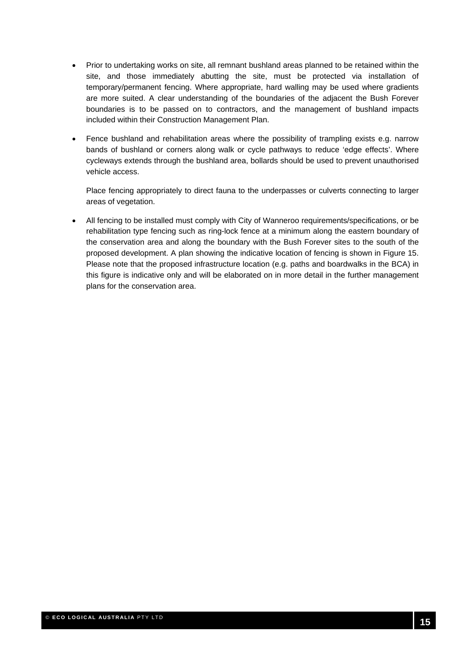- Prior to undertaking works on site, all remnant bushland areas planned to be retained within the site, and those immediately abutting the site, must be protected via installation of temporary/permanent fencing. Where appropriate, hard walling may be used where gradients are more suited. A clear understanding of the boundaries of the adjacent the Bush Forever boundaries is to be passed on to contractors, and the management of bushland impacts included within their Construction Management Plan.
- Fence bushland and rehabilitation areas where the possibility of trampling exists e.g. narrow bands of bushland or corners along walk or cycle pathways to reduce 'edge effects'. Where cycleways extends through the bushland area, bollards should be used to prevent unauthorised vehicle access.

• Place fencing appropriately to direct fauna to the underpasses or culverts connecting to larger areas of vegetation.

• All fencing to be installed must comply with City of Wanneroo requirements/specifications, or be rehabilitation type fencing such as ring-lock fence at a minimum along the eastern boundary of the conservation area and along the boundary with the Bush Forever sites to the south of the proposed development. A plan showing the indicative location of fencing is shown in Figure 15. Please note that the proposed infrastructure location (e.g. paths and boardwalks in the BCA) in this figure is indicative only and will be elaborated on in more detail in the further management plans for the conservation area.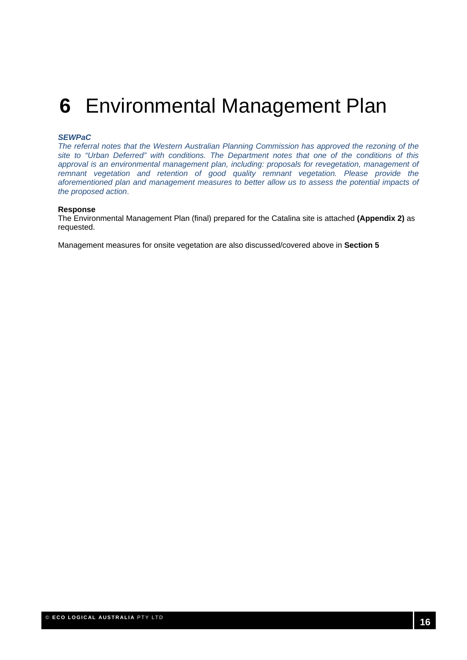### **6** Environmental Management Plan

#### *SEWPaC*

*The referral notes that the Western Australian Planning Commission has approved the rezoning of the site to "Urban Deferred" with conditions. The Department notes that one of the conditions of this approval is an environmental management plan, including: proposals for revegetation, management of remnant vegetation and retention of good quality remnant vegetation. Please provide the aforementioned plan and management measures to better allow us to assess the potential impacts of the proposed action*.

#### **Response**

The Environmental Management Plan (final) prepared for the Catalina site is attached **(Appendix 2)** as requested.

Management measures for onsite vegetation are also discussed/covered above in **Section 5**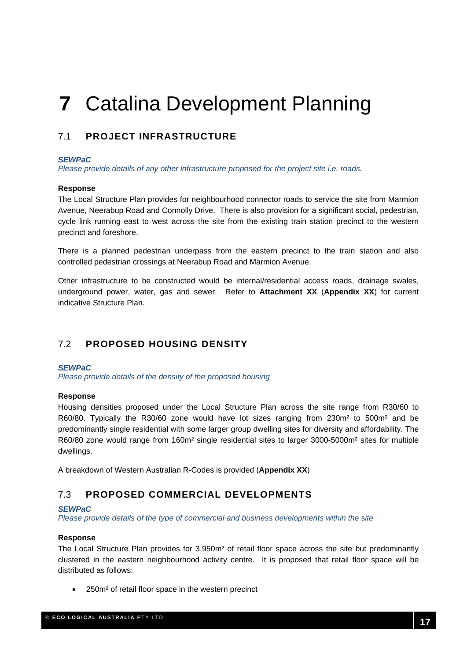# **7** Catalina Development Planning

#### 7.1 **PROJECT INFRASTRUCTURE**

#### *SEWPaC*

*Please provide details of any other infrastructure proposed for the project site i.e. roads.*

#### **Response**

The Local Structure Plan provides for neighbourhood connector roads to service the site from Marmion Avenue, Neerabup Road and Connolly Drive. There is also provision for a significant social, pedestrian, cycle link running east to west across the site from the existing train station precinct to the western precinct and foreshore.

There is a planned pedestrian underpass from the eastern precinct to the train station and also controlled pedestrian crossings at Neerabup Road and Marmion Avenue.

Other infrastructure to be constructed would be internal/residential access roads, drainage swales, underground power, water, gas and sewer. Refer to **Attachment XX** (**Appendix XX**) for current indicative Structure Plan.

#### 7.2 **PROPOSED HOUSING DENSITY**

#### *SEWPaC*

*Please provide details of the density of the proposed housing* 

#### **Response**

Housing densities proposed under the Local Structure Plan across the site range from R30/60 to R60/80. Typically the R30/60 zone would have lot sizes ranging from 230m² to 500m² and be predominantly single residential with some larger group dwelling sites for diversity and affordability. The R60/80 zone would range from 160m² single residential sites to larger 3000-5000m² sites for multiple dwellings.

A breakdown of Western Australian R-Codes is provided (**Appendix XX**)

#### 7.3 **PROPOSED COMMERCIAL DEVELOPMENTS**

#### *SEWPaC*

*Please provide details of the type of commercial and business developments within the site*

#### **Response**

The Local Structure Plan provides for 3,950m² of retail floor space across the site but predominantly clustered in the eastern neighbourhood activity centre. It is proposed that retail floor space will be distributed as follows:

• 250m² of retail floor space in the western precinct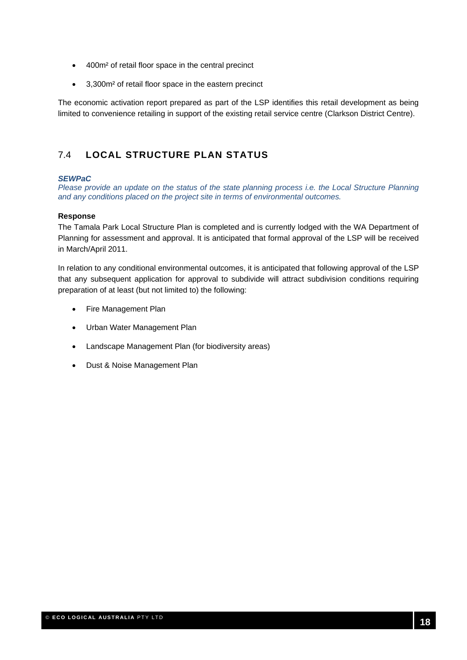- 400m² of retail floor space in the central precinct
- 3,300m² of retail floor space in the eastern precinct

The economic activation report prepared as part of the LSP identifies this retail development as being limited to convenience retailing in support of the existing retail service centre (Clarkson District Centre).

### 7.4 **LOCAL STRUCTURE PLAN STATUS**

#### *SEWPaC*

*Please provide an update on the status of the state planning process i.e. the Local Structure Planning and any conditions placed on the project site in terms of environmental outcomes.*

#### **Response**

The Tamala Park Local Structure Plan is completed and is currently lodged with the WA Department of Planning for assessment and approval. It is anticipated that formal approval of the LSP will be received in March/April 2011.

In relation to any conditional environmental outcomes, it is anticipated that following approval of the LSP that any subsequent application for approval to subdivide will attract subdivision conditions requiring preparation of at least (but not limited to) the following:

- Fire Management Plan
- Urban Water Management Plan
- Landscape Management Plan (for biodiversity areas)
- Dust & Noise Management Plan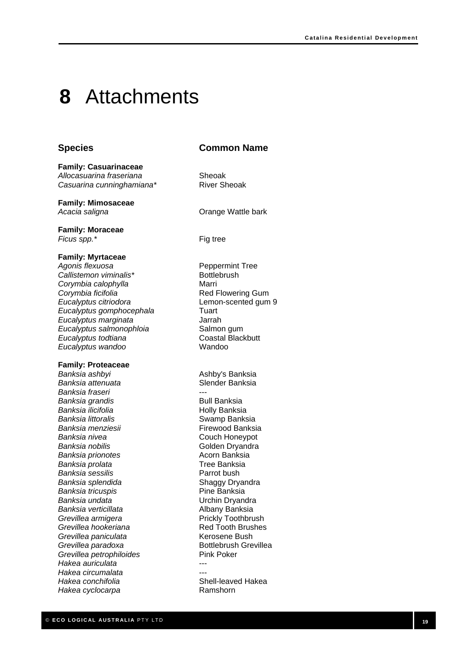### **8** Attachments

#### **Species Common Name**

*Allocasuarina fraseriana* Sheoak *Casuarina cunninghamiana\** River Sheoak

**Family: Mimosaceae**  Acacia saligna **by Community C** Crange Wattle bark

**Family: Casuarinaceae** 

**Family: Moraceae**  *Ficus spp.*\* Fig tree

#### **Family: Myrtaceae**

*Agonis flexuosa* Peppermint Tree **Callistemon viminalis\*** Bottlebrush *Corymbia calophylla* Marri **Corymbia ficifolia Red Flowering Gum** *Eucalyptus citriodora* Lemon-scented gum 9 *Eucalyptus gomphocephala* Tuart *Eucalyptus marginata* Jarrah **Eucalyptus salmonophloia Salmon gum Eucalyptus todtiana Coastal Blackbutt** *Eucalyptus wandoo* Wandoo

#### **Family: Proteaceae**

*Banksia ashbyi* Ashby's Banksia *Banksia attenuata* Slender Banksia *Banksia fraseri* --- **Banksia grandis Bull Banksia Banksia ilicifolia Access 12 and 13 and 14 and 14 and 15 and 16 and 16 and 16 and 16 and 16 and 16 and 16 and 16 and 16 and 16 and 16 and 16 and 16 and 16 and 16 and 16 and 16 and 16 and 16 and 16 and 16 and 16 and 16 a Banksia littoralis Swamp Banksia Banksia menziesii herbangi kata kata kata Firewood Banksia Banksia nivea Couch Honeypot Banksia nobilis Golden Dryandra Banksia prionotes Acorn Banksia** *Banksia prolata* Tree Banksia *Banksia sessilis* Parrot bush *Banksia splendida* Shaggy Dryandra **Banksia tricuspis Pine Banksia** *Banksia undata* Urchin Dryandra *Banksia verticillata* Albany Banksia **Grevillea armigera Prickly Toothbrush Grevillea hookeriana Red Tooth Brushes** *Grevillea paniculata* Kerosene Bush *Grevillea paradoxa* Bottlebrush Grevillea *Grevillea petrophiloides* Pink Poker *Hakea auriculata* --- *Hakea circumalata* --- *Hakea conchifolia* Shell-leaved Hakea *Hakea cyclocarpa* Ramshorn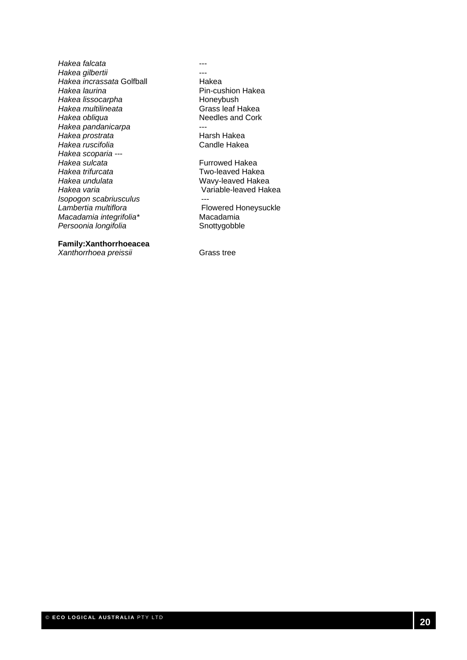*Hakea falcata* --- *Hakea gilbertii* --- *Hakea incrassata* Golfball **Hakea**<br>Hakea laurina **Hakea Incrementation** Pin-cus **Hakea lissocarpha and a Honeybush**<br> *Hakea multilineata* **Hakea Crass** leaf Hakea *Hakea multilineata*<br>Hakea obliqua *Hakea pandanicarpa* --- **Hakea prostrata Hakea** Harsh Hakea<br>Hakea ruscifolia **Alexandria Accide Hakea Hakea** ruscifolia *Hakea scoparia* --- **Hakea sulcata Furrowed Hakea** *Hakea trifurcata* Two-leaved Hakea *Hakea undulata* Wavy-leaved Hakea *Hakea varia* Variable-leaved Hakea *Isopogon scabriusculus* --- *Macadamia integrifolia\** Macadamia Persoonia longifolia **by a strategie in the Snottygobble** 

**Family:Xanthorrhoeacea** 

*Xanthorrhoea preissii* Grass tree

**Pin-cushion Hakea**<br>Honeybush **Needles and Cork Flowered Honeysuckle**